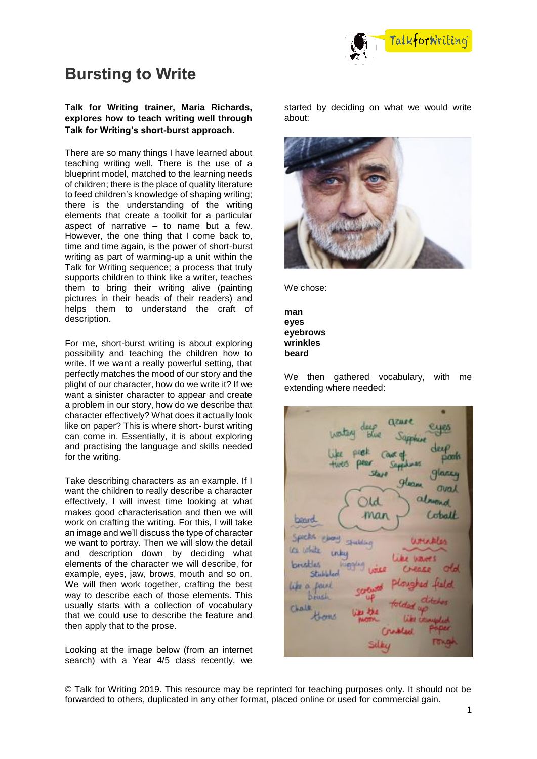

# **Bursting to Write**

### **Talk for Writing trainer, Maria Richards, explores how to teach writing well through Talk for Writing's short-burst approach.**

There are so many things I have learned about teaching writing well. There is the use of a blueprint model, matched to the learning needs of children; there is the place of quality literature to feed children's knowledge of shaping writing; there is the understanding of the writing elements that create a toolkit for a particular aspect of narrative – to name but a few. However, the one thing that I come back to, time and time again, is the power of short-burst writing as part of warming-up a unit within the Talk for Writing sequence; a process that truly supports children to think like a writer, teaches them to bring their writing alive (painting pictures in their heads of their readers) and helps them to understand the craft of description.

For me, short-burst writing is about exploring possibility and teaching the children how to write. If we want a really powerful setting, that perfectly matches the mood of our story and the plight of our character, how do we write it? If we want a sinister character to appear and create a problem in our story, how do we describe that character effectively? What does it actually look like on paper? This is where short- burst writing can come in. Essentially, it is about exploring and practising the language and skills needed for the writing.

Take describing characters as an example. If I want the children to really describe a character effectively, I will invest time looking at what makes good characterisation and then we will work on crafting the writing. For this, I will take an image and we'll discuss the type of character we want to portray. Then we will slow the detail and description down by deciding what elements of the character we will describe, for example, eyes, jaw, brows, mouth and so on. We will then work together, crafting the best way to describe each of those elements. This usually starts with a collection of vocabulary that we could use to describe the feature and then apply that to the prose.

Looking at the image below (from an internet search) with a Year 4/5 class recently, we

started by deciding on what we would write about:



We chose:

**man eyes eyebrows wrinkles beard**

We then gathered vocabulary, with me extending where needed:

**FILHEIS**  $26.10$ ylancy  $9$ lana **Oval** almond Id man Coball **Donrd** Spielts: windes **Sudden** in uthits unku brusklas Shal **DOLKI** Chall Kheene Sulta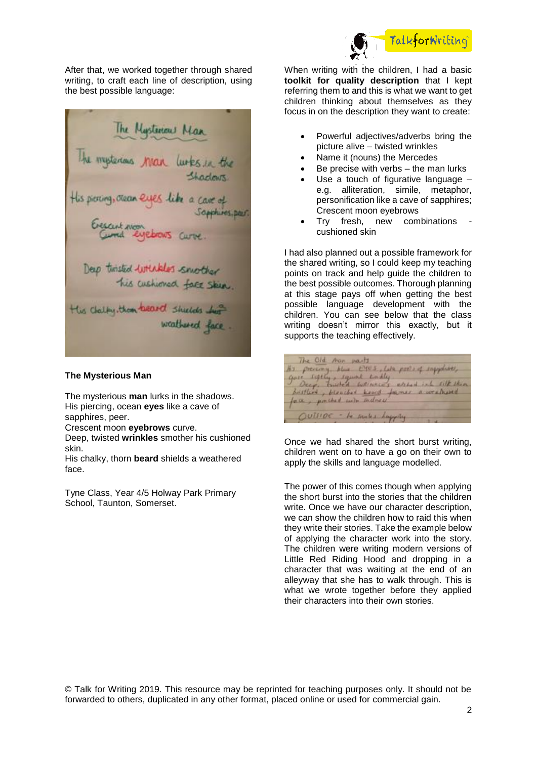

After that, we worked together through shared writing, to craft each line of description, using the best possible language:



### **The Mysterious Man**

The mysterious **man** lurks in the shadows. His piercing, ocean **eyes** like a cave of sapphires, peer.

Crescent moon **eyebrows** curve.

Deep, twisted **wrinkles** smother his cushioned skin.

His chalky, thorn **beard** shields a weathered face.

Tyne Class, Year 4/5 Holway Park Primary School, Taunton, Somerset.

When writing with the children, I had a basic **toolkit for quality description** that I kept referring them to and this is what we want to get children thinking about themselves as they focus in on the description they want to create:

- Powerful adjectives/adverbs bring the picture alive – twisted wrinkles
- Name it (nouns) the Mercedes
- Be precise with verbs the man lurks
- Use a touch of figurative language e.g. alliteration, simile, metaphor, personification like a cave of sapphires; Crescent moon eyebrows
- Try fresh, new combinations cushioned skin

I had also planned out a possible framework for the shared writing, so I could keep my teaching points on track and help guide the children to the best possible outcomes. Thorough planning at this stage pays off when getting the best possible language development with the children. You can see below that the class writing doesn't mirror this exactly, but it supports the teaching effectively.

The Old Aor marts the prevering blue EVES, Like pools of supplies,<br>give segren, squick conday, estably into site string Brittin's, blooded know fames a weathered face, porched with sudness OUTSIDE - to small a happing

Once we had shared the short burst writing, children went on to have a go on their own to apply the skills and language modelled.

The power of this comes though when applying the short burst into the stories that the children write. Once we have our character description, we can show the children how to raid this when they write their stories. Take the example below of applying the character work into the story. The children were writing modern versions of Little Red Riding Hood and dropping in a character that was waiting at the end of an alleyway that she has to walk through. This is what we wrote together before they applied their characters into their own stories.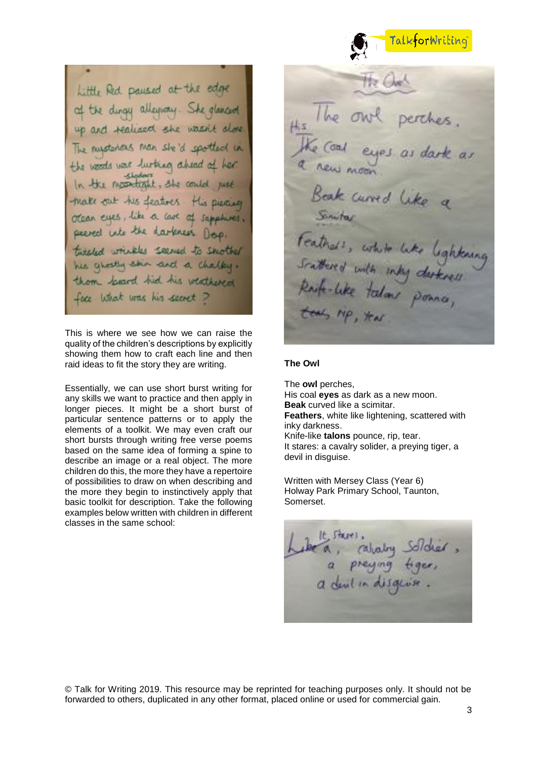

## Little Red paused at the edge of the dingy alleyway. She glanced up and realised she wasn't The nursterious man she'd spotted in the woods was lustring ahead at **Kladows** the momentant. She could make out his features. His pierce otean eyes, like a care of sapphires. peered into the darkness Doo. tuisled wrights seemed to smother his ghostly skin and a chalky thom locard hid his weathered face what was his secret?

This is where we see how we can raise the quality of the children's descriptions by explicitly showing them how to craft each line and then raid ideas to fit the story they are writing.

Essentially, we can use short burst writing for any skills we want to practice and then apply in longer pieces. It might be a short burst of particular sentence patterns or to apply the elements of a toolkit. We may even craft our short bursts through writing free verse poems based on the same idea of forming a spine to describe an image or a real object. The more children do this, the more they have a repertoire of possibilities to draw on when describing and the more they begin to instinctively apply that basic toolkit for description. Take the following examples below written with children in different classes in the same school:

Curred Feathers, white like lighting

#### **The Owl**

The **owl** perches, His coal **eyes** as dark as a new moon. **Beak** curved like a scimitar. **Feathers**, white like lightening, scattered with inky darkness. Knife-like **talons** pounce, rip, tear. It stares: a cavalry solider, a preying tiger, a devil in disguise.

Written with Mersey Class (Year 6) Holway Park Primary School, Taunton, Somerset.

calvatory